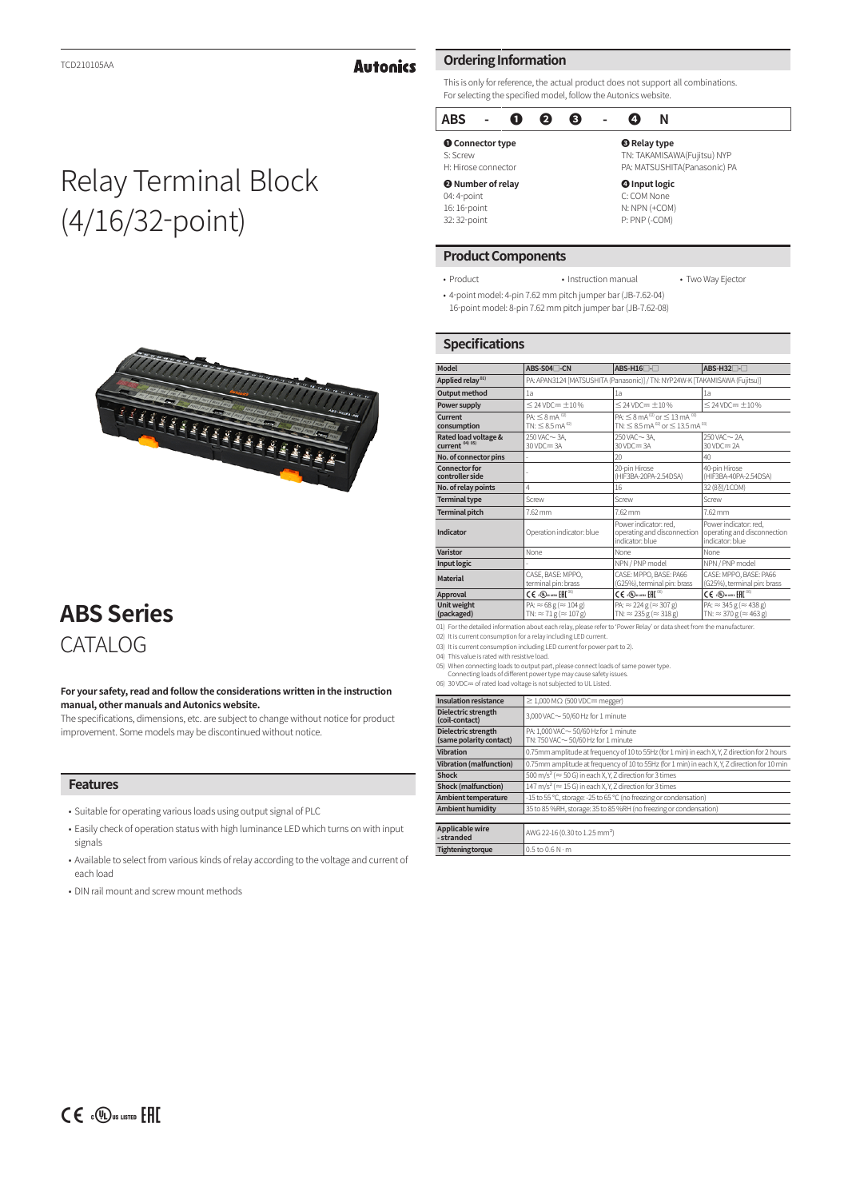# **Autonics**

# Relay Terminal Block (4/16/32-point)



# **ABS Series** CATALOG

#### **For your safety, read and follow the considerations written in the instruction manual, other manuals and Autonics website.**

The specifications, dimensions, etc. are subject to change without notice for product improvement. Some models may be discontinued without notice.

### **Features**

- Suitable for operating various loads using output signal of PLC
- Easily check of operation status with high luminance LED which turns on with input signals
- Available to select from various kinds of relay according to the voltage and current of each load
- DIN rail mount and screw mount methods

#### **Ordering Information**

This is only for reference, the actual product does not support all combinations. For selecting the specified model, follow the Autonics website.

| <b>ABS</b>                   |  | ค | ß | 4                  | Ν |
|------------------------------|--|---|---|--------------------|---|
| <b>O</b> Connector type      |  |   |   | <b>O</b> Relay typ |   |
| S: Screw                     |  |   |   | <b>TN: TAKAMIS</b> |   |
| H: Hirose connector          |  |   |   | PA: MATSUSH        |   |
| <sup>O</sup> Number of relay |  |   |   | <b>O</b> Input log |   |
| 04: 4-point                  |  |   |   | C: COM None        |   |
| 16: 16-point                 |  |   |   | N: NPN (+CO        |   |
| 32: 32-point                 |  |   |   | P: PNP (-CON       |   |
|                              |  |   |   |                    |   |

PA: MATSUSHITA(Panasonic) PA **❹ Input logic**

TN: TAKAMISAWA(Fujitsu) NYP

C: COM None

**❸ Relay type**

N: NPN (+COM) P: PNP (-COM)

#### **Product Components**

• Product • Instruction manual • Two Way Ejector

• 4-point model: 4-pin 7.62 mm pitch jumper bar (JB-7.62-04) 16-point model: 8-pin 7.62 mm pitch jumper bar (JB-7.62-08)

#### **Specifications**

| <b>Model</b>                                       | ABS-S04 <sup>-</sup> -CN                                                       | ABS-H16 <sup>-</sup>                                                                                                  | ABS-H32 <sup>-</sup>                                                             |  |
|----------------------------------------------------|--------------------------------------------------------------------------------|-----------------------------------------------------------------------------------------------------------------------|----------------------------------------------------------------------------------|--|
| Applied relay <sup>01)</sup>                       | PA: APAN3124 [MATSUSHITA (Panasonic)] / TN: NYP24W-K [TAKAMISAWA (Fujitsu)]    |                                                                                                                       |                                                                                  |  |
| <b>Output method</b>                               | 1a                                                                             | 1a                                                                                                                    | 1a                                                                               |  |
| Power supply                                       | $\leq$ 24 VDC= $\pm$ 10 %                                                      | $<$ 24 VDC= $+$ 10 %                                                                                                  | $\leq$ 24 VDC= $\pm$ 10 %                                                        |  |
| Current<br>consumption                             | $PA: \leq 8$ mA $^{(2)}$<br>$TN: \leq 8.5$ mA $^{\omega}$                      | $PA: \leq 8$ mA $^{(2)}$ or $\leq 13$ mA $^{(3)}$<br>TN: $\leq$ 8.5 mA $^{(2)}$ or $\leq$ 13.5 mA $^{(3)}$            |                                                                                  |  |
| Rated load voltage &<br>current <sup>04) 05)</sup> | $250$ VAC $\sim$ 3A.<br>$30$ VDC $=$ 3A                                        | $250$ VAC $\sim$ 3A.<br>$30$ VDC= $3A$                                                                                | $250$ VAC $\sim$ 2A.<br>$30$ VDC= 2A                                             |  |
| No. of connector pins                              |                                                                                | 20                                                                                                                    | 40                                                                               |  |
| <b>Connector for</b><br>controller side            |                                                                                | 20-pin Hirose<br>(HIF3BA-20PA-2.54DSA)                                                                                | 40-pin Hirose<br>(HIF3BA-40PA-2.54DSA)                                           |  |
| No. of relay points                                | 4                                                                              | 16                                                                                                                    | 32 (8점/1COM)                                                                     |  |
| <b>Terminal type</b>                               | Screw                                                                          | Screw                                                                                                                 | Screw                                                                            |  |
| <b>Terminal pitch</b>                              | 7.62 mm                                                                        | 7.62 mm                                                                                                               | 7.62 mm                                                                          |  |
| Indicator                                          | Operation indicator: blue                                                      | Power indicator: red.<br>operating and disconnection<br>indicator: blue                                               | Power indicator: red.<br>operating and disconnection<br>indicator: blue          |  |
| Varistor                                           | None                                                                           | None                                                                                                                  | None                                                                             |  |
| <b>Input logic</b>                                 |                                                                                | NPN / PNP model                                                                                                       | NPN / PNP model                                                                  |  |
| <b>Material</b>                                    | CASE, BASE: MPPO.<br>terminal pin: brass                                       | CASE: MPPO, BASE: PA66<br>(G25%), terminal pin: brass                                                                 | CASE: MPPO, BASE: PA66<br>(G25%), terminal pin: brass                            |  |
| Approval                                           | $CE$ $s$ (k) $u$ areas $EHE^{06}$                                              | $CE \times 10^{10}$ errors $E1E^{00}$                                                                                 | CE < <sub>®</sub> <sub>mum</sub> [f][ <sup>06</sup>                              |  |
| Unit weight<br>(packaged)                          | PA: $\approx$ 68 g ( $\approx$ 104 g)<br>TN: $\approx$ 71 g ( $\approx$ 107 g) | PA: $\approx$ 224 g ( $\approx$ 307 g)<br>TN: $\approx$ 235 g ( $\approx$ 318 g)                                      | PA: $\approx$ 345 g ( $\approx$ 438 g)<br>TN: $\approx$ 370 g ( $\approx$ 463 g) |  |
|                                                    |                                                                                | 01) For the detailed information about each relay, please refer to 'Power Relay' or data sheet from the manufacturer. |                                                                                  |  |

02) It is current consumption for a relay including LED current.

03) It is current consumption including LED current for power part to 2). 04) This value is rated with resistive load.

 05) When connecting loads to output part, please connect loads of same power type. Connecting loads of different power type may cause safety issues. 06) 30 VDCᜡ of rated load voltage is not subjected to UL Listed.

| <b>Insulation resistance</b>                   | $\geq$ 1,000 M $\Omega$ (500 VDC= megger)                                                     |
|------------------------------------------------|-----------------------------------------------------------------------------------------------|
| Dielectric strength<br>(coil-contact)          | 3,000 VAC $\sim$ 50/60 Hz for 1 minute                                                        |
| Dielectric strength<br>(same polarity contact) | PA: $1,000$ VAC $\sim$ 50/60 Hz for 1 minute<br>TN: 750 VAC $\sim$ 50/60 Hz for 1 minute      |
| <b>Vibration</b>                               | 0.75mm amplitude at frequency of 10 to 55Hz (for 1 min) in each X, Y, Z direction for 2 hours |
| <b>Vibration (malfunction)</b>                 | 0.75mm amplitude at frequency of 10 to 55Hz (for 1 min) in each X, Y, Z direction for 10 min  |
| Shock                                          | 500 m/s <sup>2</sup> ( $\approx$ 50 G) in each X, Y, Z direction for 3 times                  |
| <b>Shock (malfunction)</b>                     | 147 m/s <sup>2</sup> ( $\approx$ 15 G) in each X, Y, Z direction for 3 times                  |
| <b>Ambient temperature</b>                     | -15 to 55 °C, storage: -25 to 65 °C (no freezing or condensation)                             |
| <b>Ambient humidity</b>                        | 35 to 85 %RH, storage: 35 to 85 %RH (no freezing or condensation)                             |
|                                                |                                                                                               |
| Applicable wire<br>-stranded                   | AWG 22-16 (0.30 to 1.25 mm <sup>2</sup> )                                                     |
| <b>Tightening torque</b>                       | $0.5$ to $0.6$ N $\cdot$ m                                                                    |
|                                                |                                                                                               |